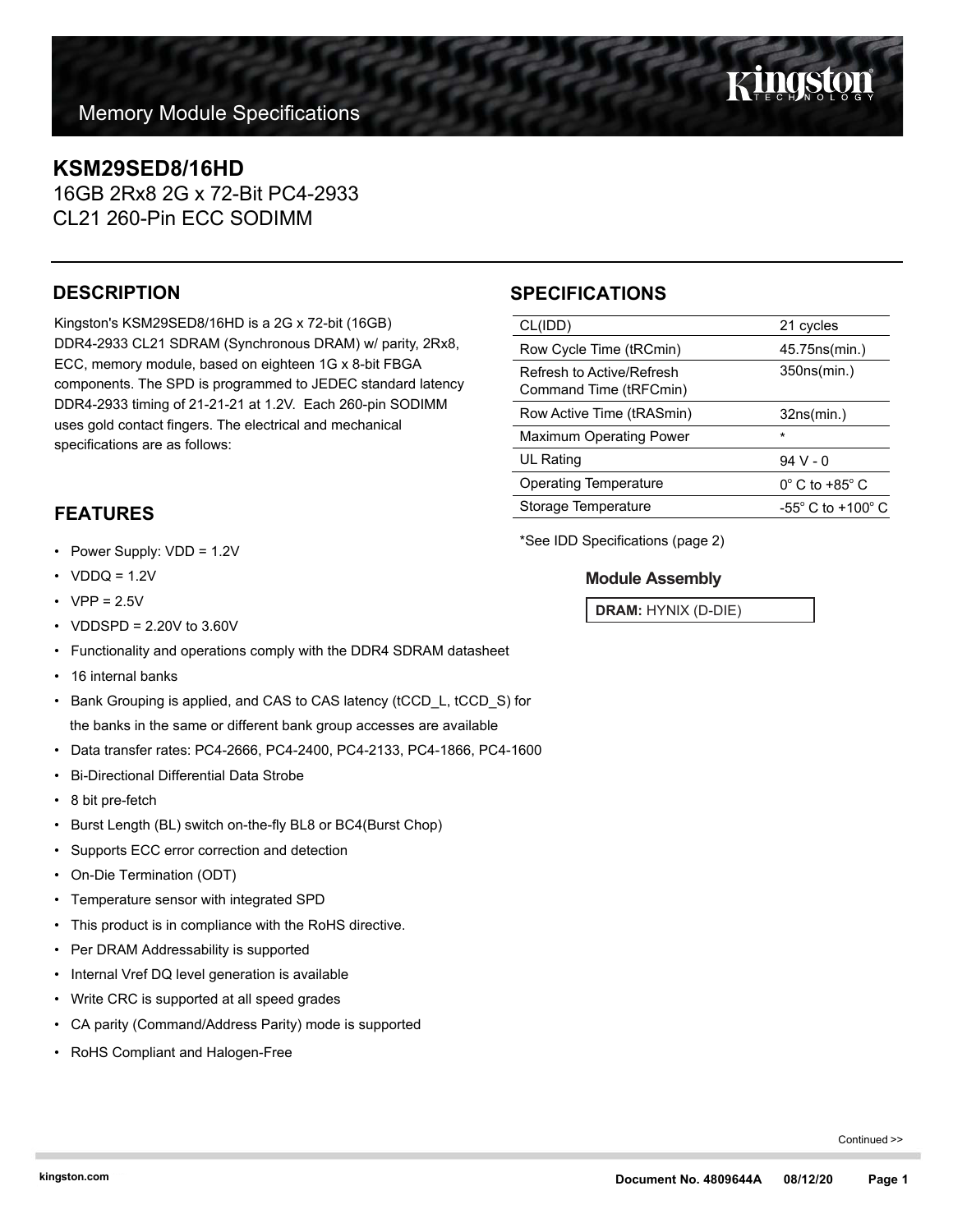## **KSM29SED8/16HD**

16GB 2Rx8 2G x 72-Bit PC4-2933 CL21 260-Pin ECC SODIMM

## **DESCRIPTION**

Kingston's KSM29SED8/16HD is a 2G x 72-bit (16GB) DDR4-2933 CL21 SDRAM (Synchronous DRAM) w/ parity, 2Rx8, ECC, memory module, based on eighteen 1G x 8-bit FBGA components. The SPD is programmed to JEDEC standard latency DDR4-2933 timing of 21-21-21 at 1.2V. Each 260-pin SODIMM uses gold contact fingers. The electrical and mechanical specifications are as follows:

## **FEATURES**

- Power Supply: VDD = 1.2V
- $VDDQ = 1.2V$
- $VPP = 2.5V$
- VDDSPD = 2.20V to 3.60V
- Functionality and operations comply with the DDR4 SDRAM datasheet
- 16 internal banks
- Bank Grouping is applied, and CAS to CAS latency (tCCD\_L, tCCD\_S) for the banks in the same or different bank group accesses are available
- Data transfer rates: PC4-2666, PC4-2400, PC4-2133, PC4-1866, PC4-1600
- Bi-Directional Differential Data Strobe
- 8 bit pre-fetch
- Burst Length (BL) switch on-the-fly BL8 or BC4(Burst Chop)
- Supports ECC error correction and detection
- On-Die Termination (ODT)
- Temperature sensor with integrated SPD
- This product is in compliance with the RoHS directive.
- Per DRAM Addressability is supported
- Internal Vref DQ level generation is available
- Write CRC is supported at all speed grades
- CA parity (Command/Address Parity) mode is supported
- RoHS Compliant and Halogen-Free

## **SPECIFICATIONS**

| CL(IDD)                                             | 21 cycles                           |
|-----------------------------------------------------|-------------------------------------|
| Row Cycle Time (tRCmin)                             | 45.75ns(min.)                       |
| Refresh to Active/Refresh<br>Command Time (tRFCmin) | 350ns(min.)                         |
| Row Active Time (tRASmin)                           | 32ns(min.)                          |
| <b>Maximum Operating Power</b>                      | $\star$                             |
| UL Rating                                           | $94V - 0$                           |
| <b>Operating Temperature</b>                        | $0^{\circ}$ C to +85 $^{\circ}$ C   |
| Storage Temperature                                 | $-55^{\circ}$ C to $+100^{\circ}$ C |
|                                                     |                                     |

\*See IDD Specifications (page 2)

### **Module Assembly**

**DRAM:** HYNIX (D-DIE)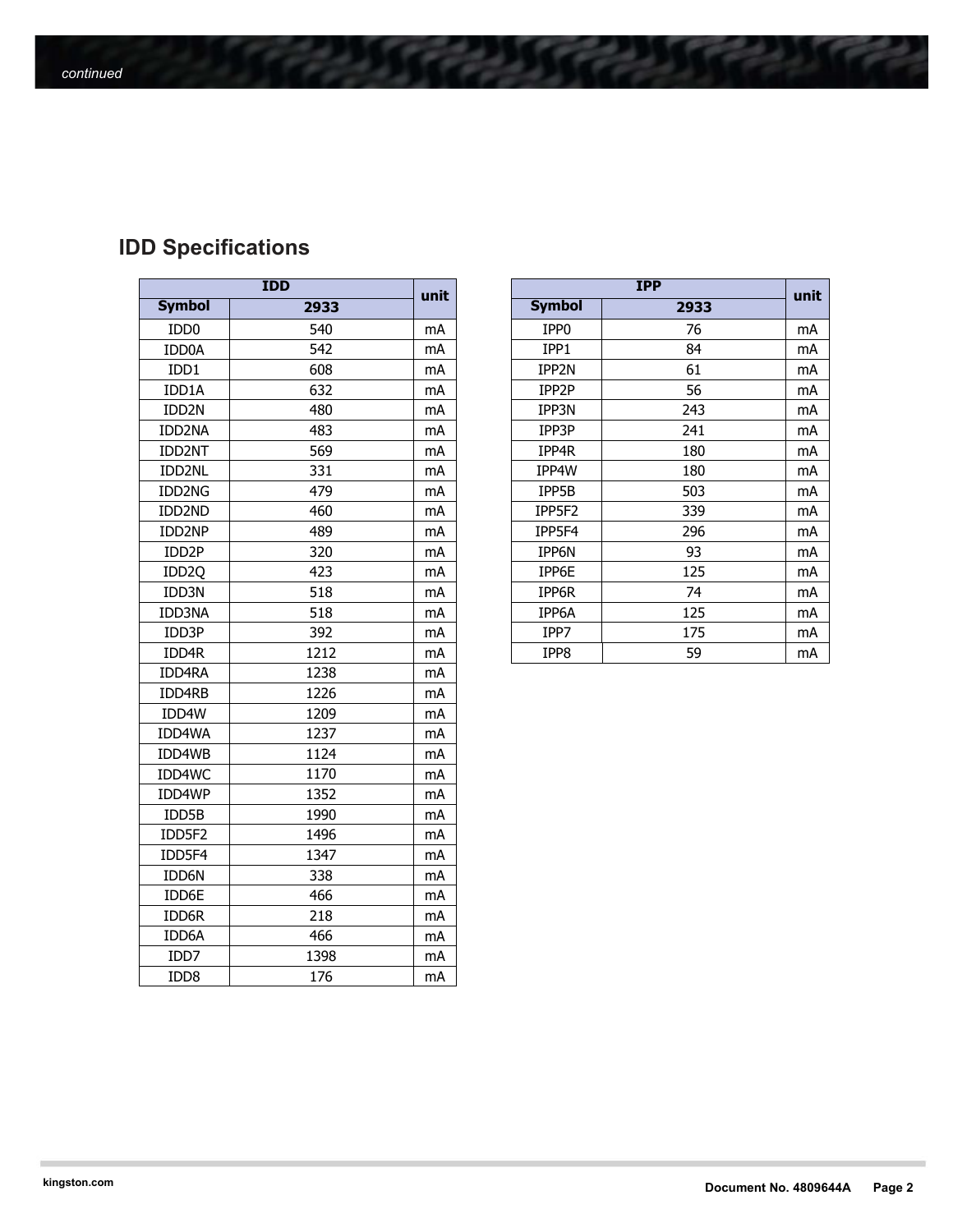# **IDD Specifications**

| <b>IDD</b>        |      |      |  |  |
|-------------------|------|------|--|--|
| <b>Symbol</b>     | 2933 | unit |  |  |
| IDD <sub>0</sub>  | 540  | mA   |  |  |
| IDD0A             | 542  | mA   |  |  |
| IDD1              | 608  | mA   |  |  |
| IDD1A             | 632  | mA   |  |  |
| IDD2N             | 480  | mA   |  |  |
| IDD2NA            | 483  | mA   |  |  |
| IDD2NT            | 569  | mA   |  |  |
| IDD2NL            | 331  | mA   |  |  |
| IDD2NG            | 479  | mA   |  |  |
| IDD2ND            | 460  | mA   |  |  |
| IDD2NP            | 489  | mA   |  |  |
| IDD2P             | 320  | mA   |  |  |
| IDD <sub>20</sub> | 423  | mA   |  |  |
| IDD3N             | 518  | mA   |  |  |
| IDD3NA            | 518  | mA   |  |  |
| IDD3P             | 392  | mA   |  |  |
| IDD4R             | 1212 | mA   |  |  |
| <b>IDD4RA</b>     | 1238 | mA   |  |  |
| IDD4RB            | 1226 | mA   |  |  |
| IDD4W             | 1209 | mA   |  |  |
| IDD4WA            | 1237 | mA   |  |  |
| IDD4WB            | 1124 | mA   |  |  |
| IDD4WC            | 1170 | mA   |  |  |
| IDD4WP            | 1352 | mA   |  |  |
| IDD5B             | 1990 | mA   |  |  |
| IDD5F2            | 1496 | mA   |  |  |
| IDD5F4            | 1347 | mA   |  |  |
| IDD6N             | 338  | mA   |  |  |
| IDD6E             | 466  | mA   |  |  |
| IDD6R             | 218  | mA   |  |  |
| IDD6A             | 466  | mA   |  |  |
| IDD7              | 1398 | mA   |  |  |
| IDD <sub>8</sub>  | 176  | mA   |  |  |

| <b>IDD</b>         |      | unit | <b>IPP</b>       |      | unit |
|--------------------|------|------|------------------|------|------|
| <b>Symbol</b>      | 2933 |      | <b>Symbol</b>    | 2933 |      |
| IDD <sub>0</sub>   | 540  | mA   | IPP <sub>0</sub> | 76   | mA   |
| IDD0A              | 542  | mA   | IPP1             | 84   | mA   |
| IDD1               | 608  | mA   | IPP2N            | 61   | mA   |
| IDD1A              | 632  | mA   | IPP2P            | 56   | mA   |
| IDD <sub>2N</sub>  | 480  | mA   | IPP3N            | 243  | mA   |
| IDD2NA             | 483  | mA   | IPP3P            | 241  | mA   |
| <b>IDD2NT</b>      | 569  | mA   | IPP4R            | 180  | mA   |
| IDD2NL             | 331  | mA   | IPP4W            | 180  | mA   |
| IDD2NG             | 479  | mA   | IPP5B            | 503  | mA   |
| IDD2ND             | 460  | mA   | IPP5F2           | 339  | mA   |
| IDD2NP             | 489  | mA   | IPP5F4           | 296  | mA   |
| IDD <sub>2</sub> P | 320  | mA   | IPP6N            | 93   | mA   |
| IDD <sub>2Q</sub>  | 423  | mA   | IPP6E            | 125  | mA   |
| IDD3N              | 518  | mA   | IPP6R            | 74   | mA   |
| IDD3NA             | 518  | mA   | IPP6A            | 125  | mA   |
| IDD3P              | 392  | mA   | IPP7             | 175  | mA   |
| IDD4R              | 1212 | mA   | IPP8             | 59   | mA   |
|                    |      |      |                  |      |      |